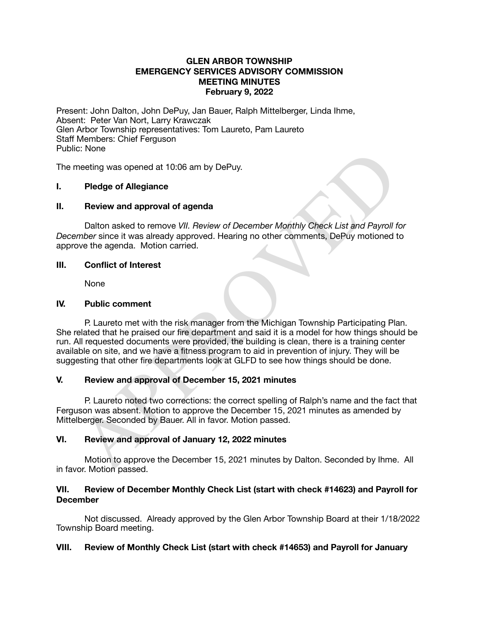## **GLEN ARBOR TOWNSHIP EMERGENCY SERVICES ADVISORY COMMISSION MEETING MINUTES February 9, 2022**

Present: John Dalton, John DePuy, Jan Bauer, Ralph Mittelberger, Linda Ihme, Absent: Peter Van Nort, Larry Krawczak Glen Arbor Township representatives: Tom Laureto, Pam Laureto Staff Members: Chief Ferguson Public: None

The meeting was opened at 10:06 am by DePuy.

# **I. Pledge of Allegiance**

### **II. Review and approval of agenda**

Dalton asked to remove *VII. Review of December Monthly Check List and Payroll for December* since it was already approved. Hearing no other comments, DePuy motioned to approve the agenda. Motion carried.

### **III. Conflict of Interest**

None

### **IV. Public comment**

C. Twile<br>
Thedge of Allegiance<br>
Review and approval of agenda<br>
Dalton asked to remove *VII. Review of December Monthly Check List and Payroll fivew*<br>
over the agenda. Motion carried.<br>
Over the agenda. Motion carried.<br>
Conf P. Laureto met with the risk manager from the Michigan Township Participating Plan. She related that he praised our fire department and said it is a model for how things should be run. All requested documents were provided, the building is clean, there is a training center available on site, and we have a fitness program to aid in prevention of injury. They will be suggesting that other fire departments look at GLFD to see how things should be done.

# **V. Review and approval of December 15, 2021 minutes**

P. Laureto noted two corrections: the correct spelling of Ralph's name and the fact that Ferguson was absent. Motion to approve the December 15, 2021 minutes as amended by Mittelberger. Seconded by Bauer. All in favor. Motion passed.

# **VI. Review and approval of January 12, 2022 minutes**

Motion to approve the December 15, 2021 minutes by Dalton. Seconded by Ihme. All in favor. Motion passed.

### **VII. Review of December Monthly Check List (start with check #14623) and Payroll for December**

Not discussed. Already approved by the Glen Arbor Township Board at their 1/18/2022 Township Board meeting.

# **VIII. Review of Monthly Check List (start with check #14653) and Payroll for January**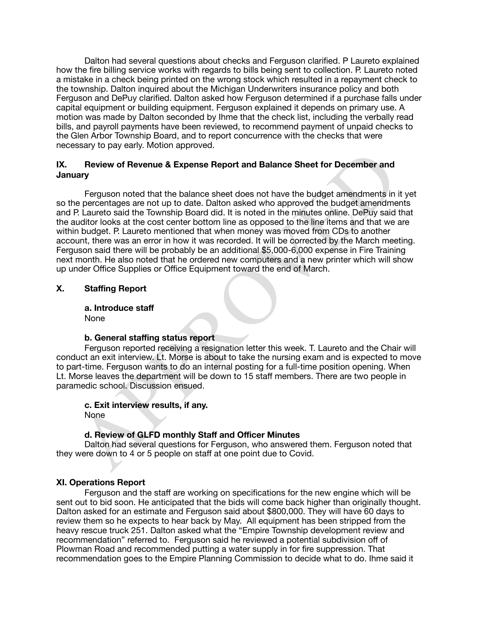Dalton had several questions about checks and Ferguson clarified. P Laureto explained how the fire billing service works with regards to bills being sent to collection. P. Laureto noted a mistake in a check being printed on the wrong stock which resulted in a repayment check to the township. Dalton inquired about the Michigan Underwriters insurance policy and both Ferguson and DePuy clarified. Dalton asked how Ferguson determined if a purchase falls under capital equipment or building equipment. Ferguson explained it depends on primary use. A motion was made by Dalton seconded by Ihme that the check list, including the verbally read bills, and payroll payments have been reviewed, to recommend payment of unpaid checks to the Glen Arbor Township Board, and to report concurrence with the checks that were necessary to pay early. Motion approved.

## **IX. Review of Revenue & Expense Report and Balance Sheet for December and January**

**Review of Revenue & Expense Report and Balance Sheet for December and<br>any**<br>Ferguson noted that the balance sheet does not have the budget amendments in<br>lary<br>Ferguson noted that the balance sheet does not have the budget Ferguson noted that the balance sheet does not have the budget amendments in it yet so the percentages are not up to date. Dalton asked who approved the budget amendments and P. Laureto said the Township Board did. It is noted in the minutes online. DePuy said that the auditor looks at the cost center bottom line as opposed to the line items and that we are within budget. P. Laureto mentioned that when money was moved from CDs to another account, there was an error in how it was recorded. It will be corrected by the March meeting. Ferguson said there will be probably be an additional \$5,000-6,000 expense in Fire Training next month. He also noted that he ordered new computers and a new printer which will show up under Office Supplies or Office Equipment toward the end of March. 

# **X. Staffing Report**

**a. Introduce staff**  None

### **b. General staffing status report**

Ferguson reported receiving a resignation letter this week. T. Laureto and the Chair will conduct an exit interview. Lt. Morse is about to take the nursing exam and is expected to move to part-time. Ferguson wants to do an internal posting for a full-time position opening. When Lt. Morse leaves the department will be down to 15 staff members. There are two people in paramedic school. Discussion ensued.

#### **c. Exit interview results, if any.**  None

# **d. Review of GLFD monthly Staff and Officer Minutes**

Dalton had several questions for Ferguson, who answered them. Ferguson noted that they were down to 4 or 5 people on staff at one point due to Covid.

# **XI. Operations Report**

Ferguson and the staff are working on specifications for the new engine which will be sent out to bid soon. He anticipated that the bids will come back higher than originally thought. Dalton asked for an estimate and Ferguson said about \$800,000. They will have 60 days to review them so he expects to hear back by May. All equipment has been stripped from the heavy rescue truck 251. Dalton asked what the "Empire Township development review and recommendation" referred to. Ferguson said he reviewed a potential subdivision off of Plowman Road and recommended putting a water supply in for fire suppression. That recommendation goes to the Empire Planning Commission to decide what to do. Ihme said it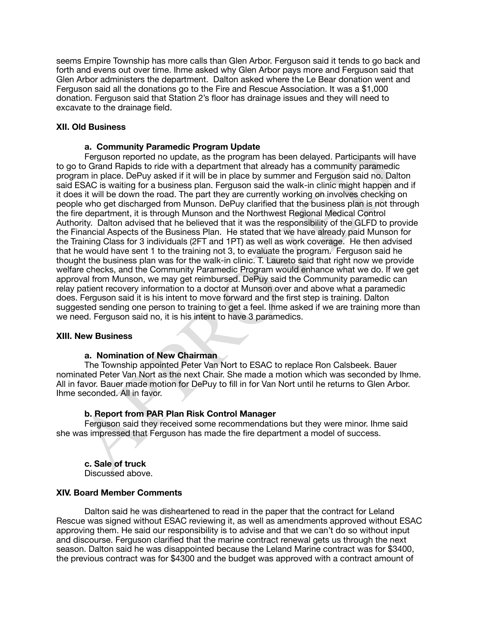seems Empire Township has more calls than Glen Arbor. Ferguson said it tends to go back and forth and evens out over time. Ihme asked why Glen Arbor pays more and Ferguson said that Glen Arbor administers the department. Dalton asked where the Le Bear donation went and Ferguson said all the donations go to the Fire and Rescue Association. It was a \$1,000 donation. Ferguson said that Station 2's floor has drainage issues and they will need to excavate to the drainage field.

## **XII. Old Business**

### **a. Community Paramedic Program Update**

Fraguson reported no update, as the program has been delayed. Participants will to Co Grand Rapids to ride with a department that already has a community paramedic<br>tram in place. DePty asked if it will be in place by summe Ferguson reported no update, as the program has been delayed. Participants will have to go to Grand Rapids to ride with a department that already has a community paramedic program in place. DePuy asked if it will be in place by summer and Ferguson said no. Dalton said ESAC is waiting for a business plan. Ferguson said the walk-in clinic might happen and if it does it will be down the road. The part they are currently working on involves checking on people who get discharged from Munson. DePuy clarified that the business plan is not through the fire department, it is through Munson and the Northwest Regional Medical Control Authority. Dalton advised that he believed that it was the responsibility of the GLFD to provide the Financial Aspects of the Business Plan. He stated that we have already paid Munson for the Training Class for 3 individuals (2FT and 1PT) as well as work coverage. He then advised that he would have sent 1 to the training not 3, to evaluate the program. Ferguson said he thought the business plan was for the walk-in clinic. T. Laureto said that right now we provide welfare checks, and the Community Paramedic Program would enhance what we do. If we get approval from Munson, we may get reimbursed. DePuy said the Community paramedic can relay patient recovery information to a doctor at Munson over and above what a paramedic does. Ferguson said it is his intent to move forward and the first step is training. Dalton suggested sending one person to training to get a feel. Ihme asked if we are training more than we need. Ferguson said no, it is his intent to have 3 paramedics.

### **XIII. New Business**

### **a. Nomination of New Chairman**

The Township appointed Peter Van Nort to ESAC to replace Ron Calsbeek. Bauer nominated Peter Van Nort as the next Chair. She made a motion which was seconded by Ihme. All in favor. Bauer made motion for DePuy to fill in for Van Nort until he returns to Glen Arbor. Ihme seconded. All in favor.

### **b. Report from PAR Plan Risk Control Manager**

Ferguson said they received some recommendations but they were minor. Ihme said she was impressed that Ferguson has made the fire department a model of success.

**c. Sale of truck** Discussed above.

### **XIV. Board Member Comments**

Dalton said he was disheartened to read in the paper that the contract for Leland Rescue was signed without ESAC reviewing it, as well as amendments approved without ESAC approving them. He said our responsibility is to advise and that we can't do so without input and discourse. Ferguson clarified that the marine contract renewal gets us through the next season. Dalton said he was disappointed because the Leland Marine contract was for \$3400, the previous contract was for \$4300 and the budget was approved with a contract amount of